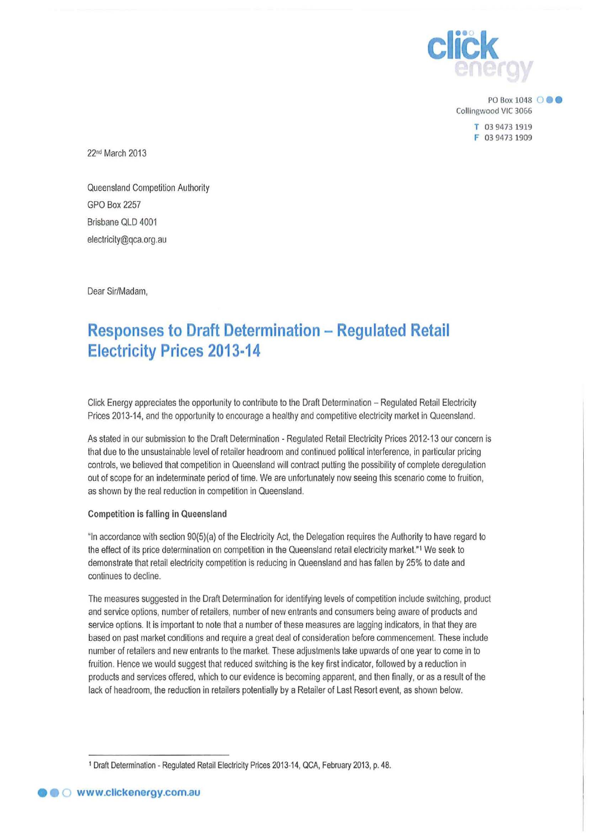

PO Box 1048 **000** Collingwood VIC 3066

> **T** 03 9473 1919 F 03 9473 1909

22nd March 2013

Queensland Competition Authority GPO Box 2257 Brisbane OLD 4001 electricily@qca.org.au

Dear Sir/Madam,

## **Responses to Draft Determination - Regulated Retail Electricity Prices 2013·14**

Click Energy appreciates the opportunity to contribute to the Draft Determination - Regulated Retail Electricity Prices 2013-14, and the opportunity to encourage a healthy and competitive electricity market in Queensland.

As staled in our submission to the Draft Determination - Regulated Retail Electricity Prices 2012-13 our concern is that due to the unsustainable level of retailer headroom and continued political interference, in particular pricing controls, we believed that competition in Queensland will contract pulling the possibility of complete deregulation out of scope for an indeterminate period of lime. We are unfortunately now seeing this scenario come to fruition, as shown by the real reduction in competition in Queensland.

## Competition is falling in Queensland

"In accordance with section 90(5)(a) of the Electricity Act, the Delegation requires the Authority to have regard to the effect of its price determination on competition in the Queensland retail electricity market."1 We seek to demonstrate that retail electricity competition is reducing in Queensland and has fallen by 25% to dale and continues to decline.

The measures suggested in the Draft Determination for identifying levels of competition include switching, product and service options, number of retailers, number of new entrants and consumers being aware of products and service options. It is important to note that a number of these measures are lagging indicators, in that they are based on past market conditions and require a great deal of consideration before commencement. These include number of retailers and new entrants to the market. These adjustments take upwards of one year to come in to fruition. Hence we would suggest that reduced switching is the key first indicator, followed by a reduction in products and services offered, which to our evidence is becoming apparent, and then finally, or as a result of the lack of headroom, the reduction in retailers potentially by a Retailer of Last Resort event, as shown below.

<sup>1</sup>Draft Determination- Regulated Retail Electricity Prices 2013-14, QCA, February 2013, p. 48.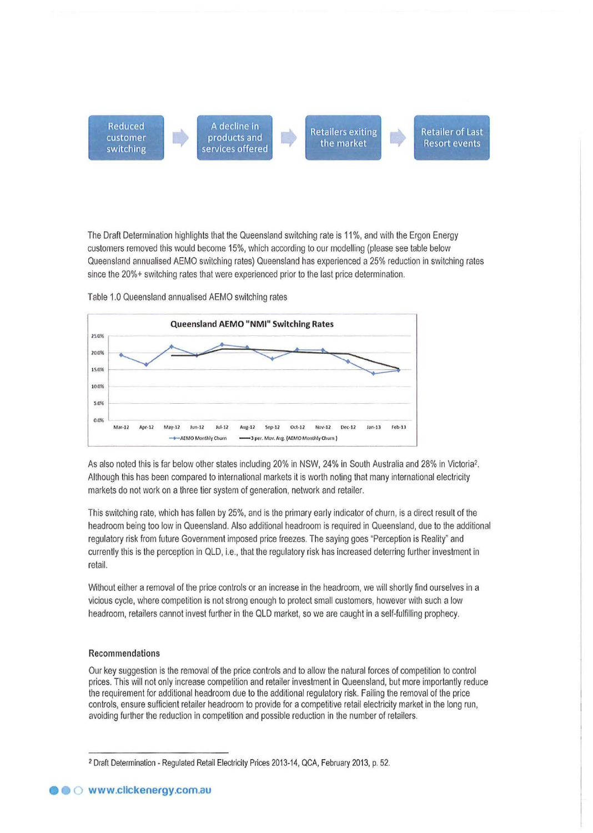

The Draft Determination highlights that the Queensland switching rate is 11 %, and with the Ergon Energy customers removed this would become 15%, which according to our modelling (please see table below Queensland annualised AEMO switching rates) Queensland has experienced a 25% reduction in switching rates since the 20%+ switching rates that were experienced prior to the last price determination.



Table 1.0 Queensland annualised AEMO switching rates

As also noted this is far below other states including 20% in NSW, 24% in South Australia and 28% in Victoria2. Although this has been compared to international markets it is worth noting that many international electricity markets do not work on a three tier system of generation, network and retailer.

This switching rate, which has fallen by 25%, and is the primary early indicator of churn, is a direct result of the headroom being too low in Queensland. Also additional headroom is required in Queensland, due to the additional regulatory risk from future Government imposed price freezes. The saying goes "Perception is Reality' and currently this is the perception in QLD, i.e., that the regulatory risk has increased deterring further investment in retail.

Without either a removal of the price controls or an increase in the headroom, we will shortly find ourselves in a vicious cycle, where competition is not strong enough to protect small customers, however with such a low headroom, retailers cannot invest further in the QLD market, so we are caught in a self-fulfilling prophecy.

## Recommendations

Our key suggestion is the removal of the price controls and to allow the natural forces of competition to control prices. This will not only increase competition and retailer investment in Queensland, but more importantly reduce the requirement for additional headroom due to the additional regulatory risk. Failing the removal of the price controls, ensure sufficient retailer headroom to provide for a competitive retail electricity market in the long run, avoiding further the reduction in competition and possible reduction in the number of retailers.

<sup>2</sup> Draft Determination- Regulated Retail Electricity Prices 2013-14, QCA, February 2013, p. 52.